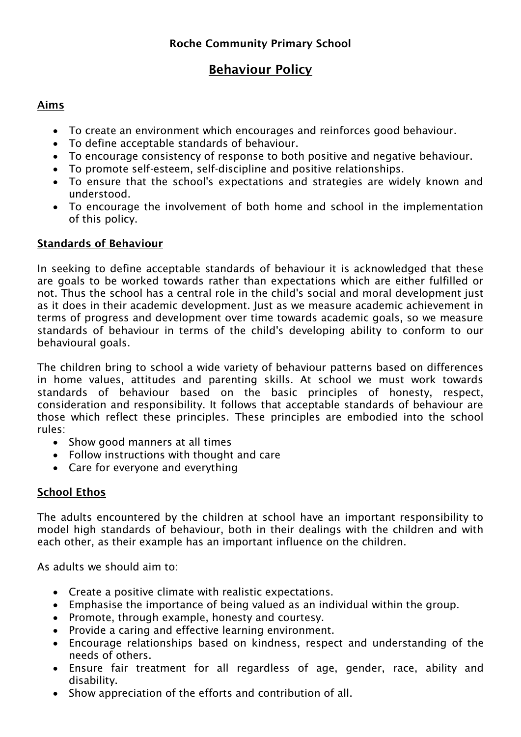# **Behaviour Policy**

## **Aims**

- To create an environment which encourages and reinforces good behaviour.
- To define acceptable standards of behaviour.
- To encourage consistency of response to both positive and negative behaviour.
- To promote self-esteem, self-discipline and positive relationships.
- To ensure that the school's expectations and strategies are widely known and understood.
- To encourage the involvement of both home and school in the implementation of this policy.

## **Standards of Behaviour**

In seeking to define acceptable standards of behaviour it is acknowledged that these are goals to be worked towards rather than expectations which are either fulfilled or not. Thus the school has a central role in the child's social and moral development just as it does in their academic development. Just as we measure academic achievement in terms of progress and development over time towards academic goals, so we measure standards of behaviour in terms of the child's developing ability to conform to our behavioural goals.

The children bring to school a wide variety of behaviour patterns based on differences in home values, attitudes and parenting skills. At school we must work towards standards of behaviour based on the basic principles of honesty, respect, consideration and responsibility. It follows that acceptable standards of behaviour are those which reflect these principles. These principles are embodied into the school rules:

- Show good manners at all times
- Follow instructions with thought and care
- Care for everyone and everything

## **School Ethos**

The adults encountered by the children at school have an important responsibility to model high standards of behaviour, both in their dealings with the children and with each other, as their example has an important influence on the children.

As adults we should aim to:

- Create a positive climate with realistic expectations.
- Emphasise the importance of being valued as an individual within the group.
- Promote, through example, honesty and courtesy.
- Provide a caring and effective learning environment.
- Encourage relationships based on kindness, respect and understanding of the needs of others.
- Ensure fair treatment for all regardless of age, gender, race, ability and disability.
- Show appreciation of the efforts and contribution of all.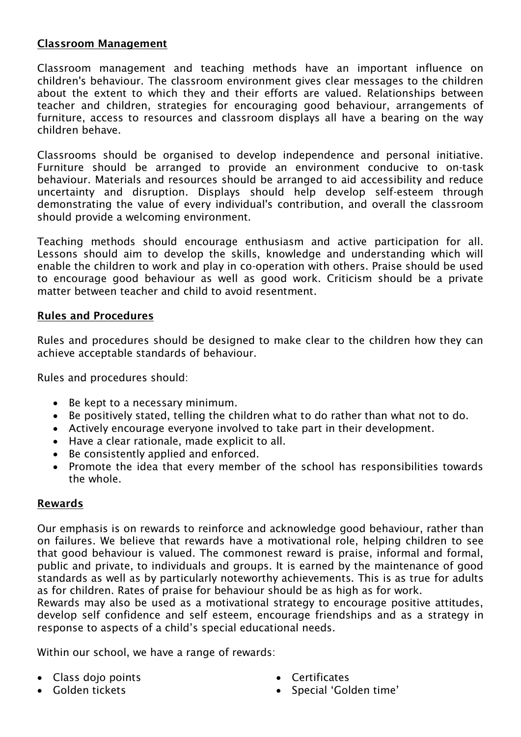### **Classroom Management**

Classroom management and teaching methods have an important influence on children's behaviour. The classroom environment gives clear messages to the children about the extent to which they and their efforts are valued. Relationships between teacher and children, strategies for encouraging good behaviour, arrangements of furniture, access to resources and classroom displays all have a bearing on the way children behave.

Classrooms should be organised to develop independence and personal initiative. Furniture should be arranged to provide an environment conducive to on-task behaviour. Materials and resources should be arranged to aid accessibility and reduce uncertainty and disruption. Displays should help develop self-esteem through demonstrating the value of every individual's contribution, and overall the classroom should provide a welcoming environment.

Teaching methods should encourage enthusiasm and active participation for all. Lessons should aim to develop the skills, knowledge and understanding which will enable the children to work and play in co-operation with others. Praise should be used to encourage good behaviour as well as good work. Criticism should be a private matter between teacher and child to avoid resentment.

#### **Rules and Procedures**

Rules and procedures should be designed to make clear to the children how they can achieve acceptable standards of behaviour.

Rules and procedures should:

- Be kept to a necessary minimum.
- Be positively stated, telling the children what to do rather than what not to do.
- Actively encourage everyone involved to take part in their development.
- Have a clear rationale, made explicit to all.
- Be consistently applied and enforced.
- Promote the idea that every member of the school has responsibilities towards the whole.

#### **Rewards**

Our emphasis is on rewards to reinforce and acknowledge good behaviour, rather than on failures. We believe that rewards have a motivational role, helping children to see that good behaviour is valued. The commonest reward is praise, informal and formal, public and private, to individuals and groups. It is earned by the maintenance of good standards as well as by particularly noteworthy achievements. This is as true for adults as for children. Rates of praise for behaviour should be as high as for work.

Rewards may also be used as a motivational strategy to encourage positive attitudes, develop self confidence and self esteem, encourage friendships and as a strategy in response to aspects of a child's special educational needs.

Within our school, we have a range of rewards:

- Class dojo points
- Golden tickets
- Certificates
- Special 'Golden time'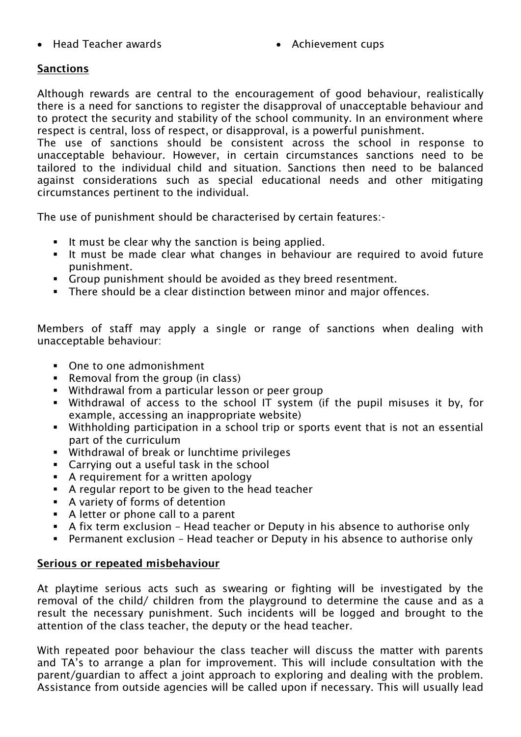- Head Teacher awards **Achievement cups Achievement cups** 
	-

## **Sanctions**

Although rewards are central to the encouragement of good behaviour, realistically there is a need for sanctions to register the disapproval of unacceptable behaviour and to protect the security and stability of the school community. In an environment where respect is central, loss of respect, or disapproval, is a powerful punishment.

The use of sanctions should be consistent across the school in response to unacceptable behaviour. However, in certain circumstances sanctions need to be tailored to the individual child and situation. Sanctions then need to be balanced against considerations such as special educational needs and other mitigating circumstances pertinent to the individual.

The use of punishment should be characterised by certain features:-

- It must be clear why the sanction is being applied.
- It must be made clear what changes in behaviour are required to avoid future punishment.
- Group punishment should be avoided as they breed resentment.
- There should be a clear distinction between minor and major offences.

Members of staff may apply a single or range of sanctions when dealing with unacceptable behaviour:

- One to one admonishment
- Removal from the group (in class)
- Withdrawal from a particular lesson or peer group
- Withdrawal of access to the school IT system (if the pupil misuses it by, for example, accessing an inappropriate website)
- Withholding participation in a school trip or sports event that is not an essential part of the curriculum
- Withdrawal of break or lunchtime privileges
- Carrying out a useful task in the school
- A requirement for a written apology
- A regular report to be given to the head teacher
- A variety of forms of detention
- A letter or phone call to a parent
- A fix term exclusion Head teacher or Deputy in his absence to authorise only
- Permanent exclusion Head teacher or Deputy in his absence to authorise only

#### **Serious or repeated misbehaviour**

At playtime serious acts such as swearing or fighting will be investigated by the removal of the child/ children from the playground to determine the cause and as a result the necessary punishment. Such incidents will be logged and brought to the attention of the class teacher, the deputy or the head teacher.

With repeated poor behaviour the class teacher will discuss the matter with parents and TA's to arrange a plan for improvement. This will include consultation with the parent/guardian to affect a joint approach to exploring and dealing with the problem. Assistance from outside agencies will be called upon if necessary. This will usually lead